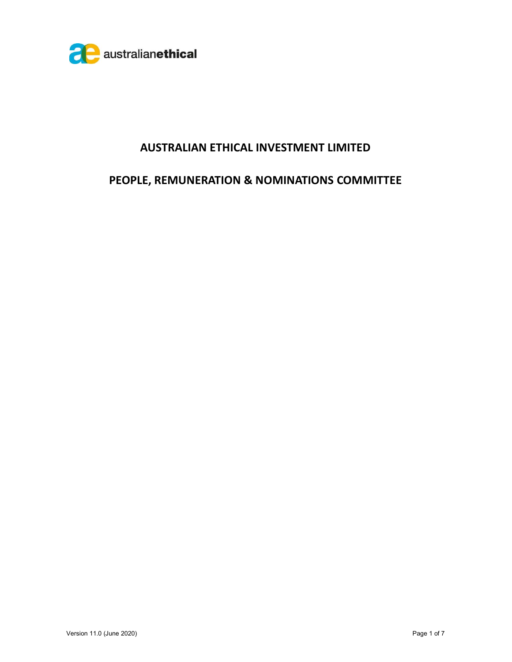

## AUSTRALIAN ETHICAL INVESTMENT LIMITED

# PEOPLE, REMUNERATION & NOMINATIONS COMMITTEE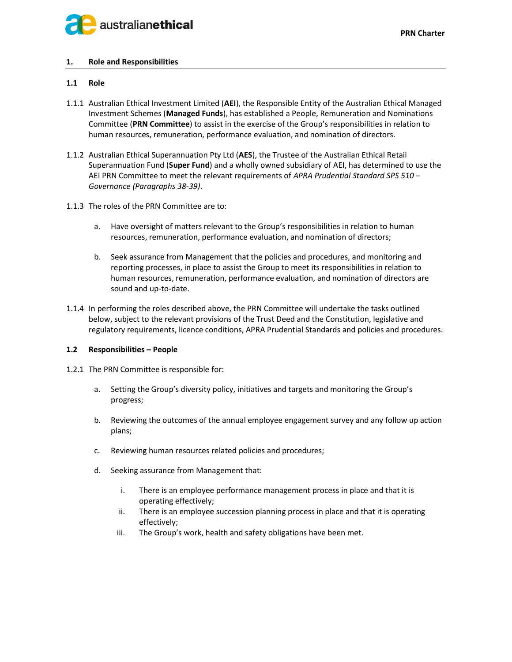

## 1. Role and Responsibilities

## 1.1 Role

- 1.1.1 Australian Ethical Investment Limited (AEI), the Responsible Entity of the Australian Ethical Managed Investment Schemes (Managed Funds), has established a People, Remuneration and Nominations Committee (PRN Committee) to assist in the exercise of the Group's responsibilities in relation to human resources, remuneration, performance evaluation, and nomination of directors.
- 1.1.2 Australian Ethical Superannuation Pty Ltd (AES), the Trustee of the Australian Ethical Retail Superannuation Fund (Super Fund) and a wholly owned subsidiary of AEI, has determined to use the AEI PRN Committee to meet the relevant requirements of APRA Prudential Standard SPS 510 -Governance (Paragraphs 38-39).
- 1.1.3 The roles of the PRN Committee are to:
	- a. Have oversight of matters relevant to the Group's responsibilities in relation to human resources, remuneration, performance evaluation, and nomination of directors;
	- b. Seek assurance from Management that the policies and procedures, and monitoring and reporting processes, in place to assist the Group to meet its responsibilities in relation to human resources, remuneration, performance evaluation, and nomination of directors are sound and up-to-date.
- 1.1.4 In performing the roles described above, the PRN Committee will undertake the tasks outlined below, subject to the relevant provisions of the Trust Deed and the Constitution, legislative and regulatory requirements, licence conditions, APRA Prudential Standards and policies and procedures.

## 1.2 Responsibilities – People

- 1.2.1 The PRN Committee is responsible for:
	- a. Setting the Group's diversity policy, initiatives and targets and monitoring the Group's progress;
	- b. Reviewing the outcomes of the annual employee engagement survey and any follow up action plans;
	- c. Reviewing human resources related policies and procedures;
	- d. Seeking assurance from Management that:
		- i. There is an employee performance management process in place and that it is operating effectively;
		- ii. There is an employee succession planning process in place and that it is operating effectively;
		- iii. The Group's work, health and safety obligations have been met.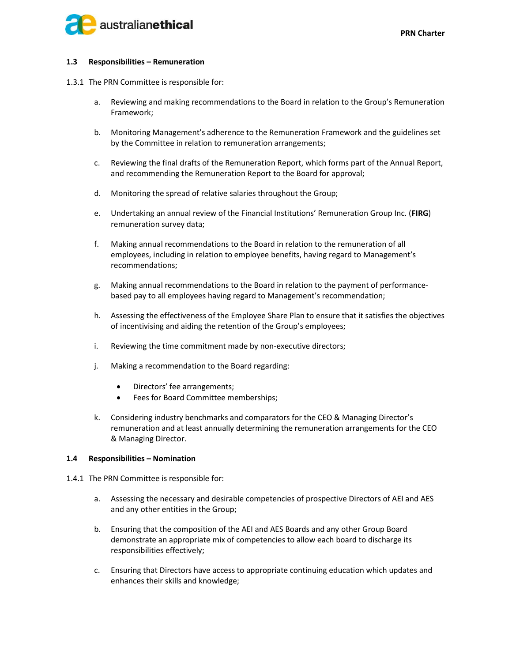

#### 1.3 Responsibilities – Remuneration

- 1.3.1 The PRN Committee is responsible for:
	- a. Reviewing and making recommendations to the Board in relation to the Group's Remuneration Framework;
	- b. Monitoring Management's adherence to the Remuneration Framework and the guidelines set by the Committee in relation to remuneration arrangements;
	- c. Reviewing the final drafts of the Remuneration Report, which forms part of the Annual Report, and recommending the Remuneration Report to the Board for approval;
	- d. Monitoring the spread of relative salaries throughout the Group;
	- e. Undertaking an annual review of the Financial Institutions' Remuneration Group Inc. (FIRG) remuneration survey data;
	- f. Making annual recommendations to the Board in relation to the remuneration of all employees, including in relation to employee benefits, having regard to Management's recommendations;
	- g. Making annual recommendations to the Board in relation to the payment of performancebased pay to all employees having regard to Management's recommendation;
	- h. Assessing the effectiveness of the Employee Share Plan to ensure that it satisfies the objectives of incentivising and aiding the retention of the Group's employees;
	- i. Reviewing the time commitment made by non-executive directors;
	- j. Making a recommendation to the Board regarding:
		- Directors' fee arrangements;
		- Fees for Board Committee memberships;
	- k. Considering industry benchmarks and comparators for the CEO & Managing Director's remuneration and at least annually determining the remuneration arrangements for the CEO & Managing Director.

#### 1.4 Responsibilities – Nomination

- 1.4.1 The PRN Committee is responsible for:
	- a. Assessing the necessary and desirable competencies of prospective Directors of AEI and AES and any other entities in the Group;
	- b. Ensuring that the composition of the AEI and AES Boards and any other Group Board demonstrate an appropriate mix of competencies to allow each board to discharge its responsibilities effectively;
	- c. Ensuring that Directors have access to appropriate continuing education which updates and enhances their skills and knowledge;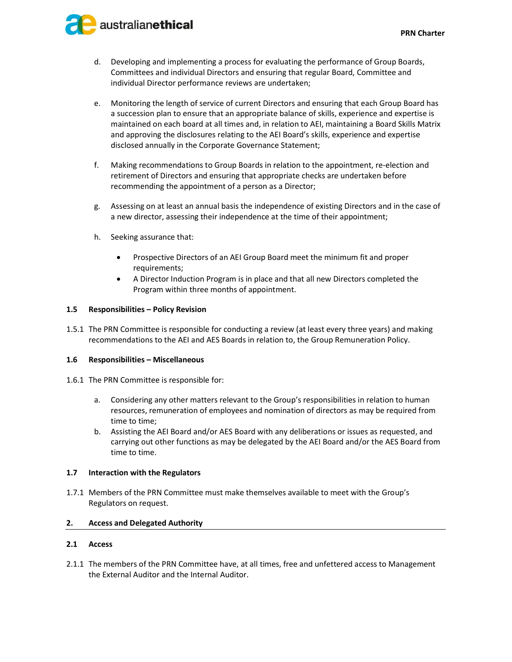



- d. Developing and implementing a process for evaluating the performance of Group Boards, Committees and individual Directors and ensuring that regular Board, Committee and individual Director performance reviews are undertaken;
- e. Monitoring the length of service of current Directors and ensuring that each Group Board has a succession plan to ensure that an appropriate balance of skills, experience and expertise is maintained on each board at all times and, in relation to AEI, maintaining a Board Skills Matrix and approving the disclosures relating to the AEI Board's skills, experience and expertise disclosed annually in the Corporate Governance Statement;
- f. Making recommendations to Group Boards in relation to the appointment, re-election and retirement of Directors and ensuring that appropriate checks are undertaken before recommending the appointment of a person as a Director;
- g. Assessing on at least an annual basis the independence of existing Directors and in the case of a new director, assessing their independence at the time of their appointment;
- h. Seeking assurance that:
	- Prospective Directors of an AEI Group Board meet the minimum fit and proper requirements;
	- A Director Induction Program is in place and that all new Directors completed the Program within three months of appointment.

## 1.5 Responsibilities – Policy Revision

1.5.1 The PRN Committee is responsible for conducting a review (at least every three years) and making recommendations to the AEI and AES Boards in relation to, the Group Remuneration Policy.

#### 1.6 Responsibilities – Miscellaneous

- 1.6.1 The PRN Committee is responsible for:
	- a. Considering any other matters relevant to the Group's responsibilities in relation to human resources, remuneration of employees and nomination of directors as may be required from time to time;
	- b. Assisting the AEI Board and/or AES Board with any deliberations or issues as requested, and carrying out other functions as may be delegated by the AEI Board and/or the AES Board from time to time.

#### 1.7 Interaction with the Regulators

1.7.1 Members of the PRN Committee must make themselves available to meet with the Group's Regulators on request.

## 2. Access and Delegated Authority

## 2.1 Access

2.1.1 The members of the PRN Committee have, at all times, free and unfettered access to Management the External Auditor and the Internal Auditor.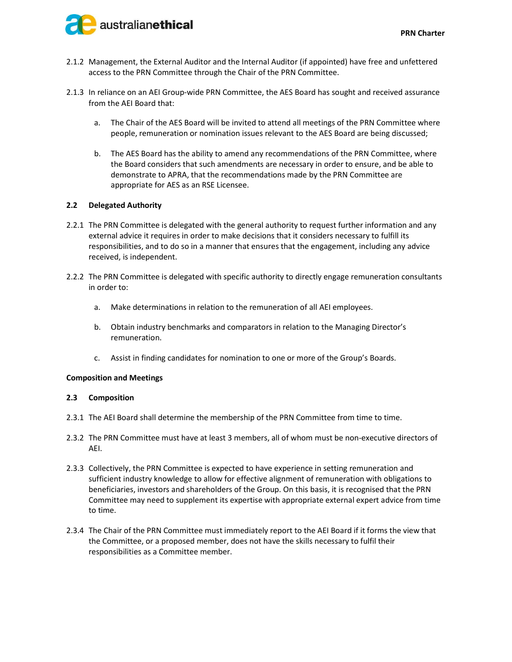

- 2.1.2 Management, the External Auditor and the Internal Auditor (if appointed) have free and unfettered access to the PRN Committee through the Chair of the PRN Committee.
- 2.1.3 In reliance on an AEI Group-wide PRN Committee, the AES Board has sought and received assurance from the AEI Board that:
	- a. The Chair of the AES Board will be invited to attend all meetings of the PRN Committee where people, remuneration or nomination issues relevant to the AES Board are being discussed;
	- b. The AES Board has the ability to amend any recommendations of the PRN Committee, where the Board considers that such amendments are necessary in order to ensure, and be able to demonstrate to APRA, that the recommendations made by the PRN Committee are appropriate for AES as an RSE Licensee.

## 2.2 Delegated Authority

- 2.2.1 The PRN Committee is delegated with the general authority to request further information and any external advice it requires in order to make decisions that it considers necessary to fulfill its responsibilities, and to do so in a manner that ensures that the engagement, including any advice received, is independent.
- 2.2.2 The PRN Committee is delegated with specific authority to directly engage remuneration consultants in order to:
	- a. Make determinations in relation to the remuneration of all AEI employees.
	- b. Obtain industry benchmarks and comparators in relation to the Managing Director's remuneration.
	- c. Assist in finding candidates for nomination to one or more of the Group's Boards.

#### Composition and Meetings

#### 2.3 Composition

- 2.3.1 The AEI Board shall determine the membership of the PRN Committee from time to time.
- 2.3.2 The PRN Committee must have at least 3 members, all of whom must be non-executive directors of AEI.
- 2.3.3 Collectively, the PRN Committee is expected to have experience in setting remuneration and sufficient industry knowledge to allow for effective alignment of remuneration with obligations to beneficiaries, investors and shareholders of the Group. On this basis, it is recognised that the PRN Committee may need to supplement its expertise with appropriate external expert advice from time to time.
- 2.3.4 The Chair of the PRN Committee must immediately report to the AEI Board if it forms the view that the Committee, or a proposed member, does not have the skills necessary to fulfil their responsibilities as a Committee member.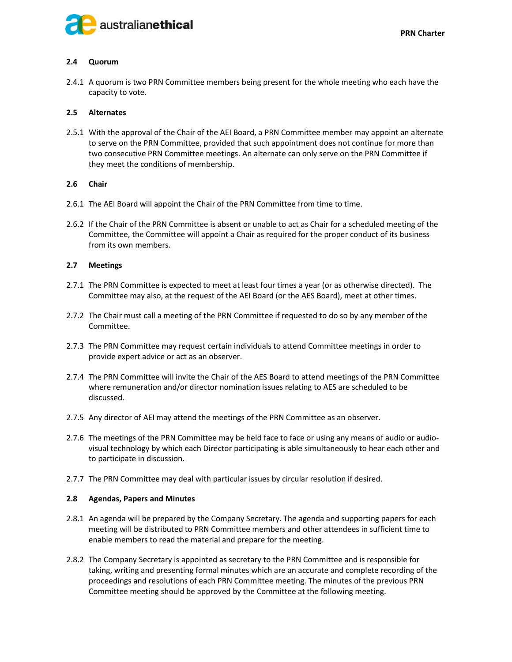

## 2.4 Quorum

2.4.1 A quorum is two PRN Committee members being present for the whole meeting who each have the capacity to vote.

#### 2.5 Alternates

2.5.1 With the approval of the Chair of the AEI Board, a PRN Committee member may appoint an alternate to serve on the PRN Committee, provided that such appointment does not continue for more than two consecutive PRN Committee meetings. An alternate can only serve on the PRN Committee if they meet the conditions of membership.

## 2.6 Chair

- 2.6.1 The AEI Board will appoint the Chair of the PRN Committee from time to time.
- 2.6.2 If the Chair of the PRN Committee is absent or unable to act as Chair for a scheduled meeting of the Committee, the Committee will appoint a Chair as required for the proper conduct of its business from its own members.

#### 2.7 Meetings

- 2.7.1 The PRN Committee is expected to meet at least four times a year (or as otherwise directed). The Committee may also, at the request of the AEI Board (or the AES Board), meet at other times.
- 2.7.2 The Chair must call a meeting of the PRN Committee if requested to do so by any member of the Committee.
- 2.7.3 The PRN Committee may request certain individuals to attend Committee meetings in order to provide expert advice or act as an observer.
- 2.7.4 The PRN Committee will invite the Chair of the AES Board to attend meetings of the PRN Committee where remuneration and/or director nomination issues relating to AES are scheduled to be discussed.
- 2.7.5 Any director of AEI may attend the meetings of the PRN Committee as an observer.
- 2.7.6 The meetings of the PRN Committee may be held face to face or using any means of audio or audiovisual technology by which each Director participating is able simultaneously to hear each other and to participate in discussion.
- 2.7.7 The PRN Committee may deal with particular issues by circular resolution if desired.

#### 2.8 Agendas, Papers and Minutes

- 2.8.1 An agenda will be prepared by the Company Secretary. The agenda and supporting papers for each meeting will be distributed to PRN Committee members and other attendees in sufficient time to enable members to read the material and prepare for the meeting.
- 2.8.2 The Company Secretary is appointed as secretary to the PRN Committee and is responsible for taking, writing and presenting formal minutes which are an accurate and complete recording of the proceedings and resolutions of each PRN Committee meeting. The minutes of the previous PRN Committee meeting should be approved by the Committee at the following meeting.